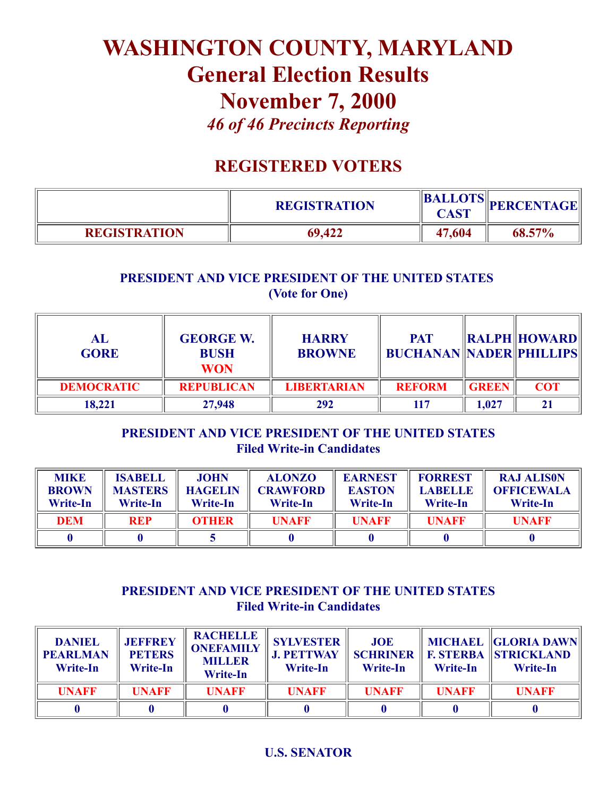# WASHINGTON COUNTY, MARYLAND General Election Results November 7, 2000 *46 of 46 Precincts Reporting*

## REGISTERED VOTERS

|                     | <b>REGISTRATION</b> | $\left\  \frac{\text{BALLOTS}}{\text{C} + \text{CT}} \right\  \text{PERCENTAGE}$<br>CAST |        |
|---------------------|---------------------|------------------------------------------------------------------------------------------|--------|
| <b>REGISTRATION</b> | 69,422              | 47,604                                                                                   | 68.57% |

### PRESIDENT AND VICE PRESIDENT OF THE UNITED STATES (Vote for One)

| AL<br><b>GORE</b> | <b>GEORGE W.</b><br><b>BUSH</b><br><b>WON</b> | <b>HARRY</b><br><b>BROWNE</b> | <b>PAT</b><br><b>BUCHANAN NADER PHILLIPS</b> |              | $\ RALPH\ $ HOWARD $\ $ |
|-------------------|-----------------------------------------------|-------------------------------|----------------------------------------------|--------------|-------------------------|
| <b>DEMOCRATIC</b> | <b>REPUBLICAN</b>                             | <b>LIBERTARIAN</b>            | <b>REFORM</b>                                | <b>GREEN</b> | <b>COT</b>              |
| 18,221            | 27,948                                        | 292                           | 117                                          | 1,027        | 21                      |

#### PRESIDENT AND VICE PRESIDENT OF THE UNITED STATES **Filed Write-in Candidates**

| <b>MIKE</b><br><b>BROWN</b><br><b>Write-In</b> | <b>ISABELL</b><br><b>MASTERS</b><br><b>Write-In</b> | <b>JOHN</b><br><b>HAGELIN</b><br><b>Write-In</b> | <b>ALONZO</b><br><b>CRAWFORD</b><br>Write-In | <b>EARNEST</b><br><b>EASTON</b><br><b>Write-In</b> | <b>FORREST</b><br><b>LABELLE</b><br>Write-In | <b>RAJ ALISON</b><br><b>OFFICEWALA</b><br><b>Write-In</b> |
|------------------------------------------------|-----------------------------------------------------|--------------------------------------------------|----------------------------------------------|----------------------------------------------------|----------------------------------------------|-----------------------------------------------------------|
| DEM                                            | <b>REP</b>                                          | <b>OTHER</b>                                     | <b>UNAFF</b>                                 | <b>UNAFF</b>                                       | <b>UNAFF</b>                                 | <b>UNAFF</b>                                              |
|                                                |                                                     |                                                  |                                              |                                                    |                                              |                                                           |

#### PRESIDENT AND VICE PRESIDENT OF THE UNITED STATES **Filed Write-in Candidates**

| <b>DANIEL</b><br><b>PEARLMAN</b><br><b>Write-In</b> | <b>JEFFREY</b><br><b>PETERS</b><br><b>Write-In</b> | <b>RACHELLE</b><br><b>ONEFAMILY</b><br><b>MILLER</b><br><b>Write-In</b> | <b>SYLVESTER</b><br><b>J. PETTWAY</b><br>Write-In | <b>JOE</b><br>Write-In | Write-In     | MICHAEL   GLORIA DAWN  <br><b>SCHRINER   F. STERBA   STRICKLAND</b><br><b>Write-In</b> |
|-----------------------------------------------------|----------------------------------------------------|-------------------------------------------------------------------------|---------------------------------------------------|------------------------|--------------|----------------------------------------------------------------------------------------|
| <b>UNAFF</b>                                        | <b>UNAFF</b>                                       | <b>UNAFF</b>                                                            | <b>UNAFF</b>                                      | <b>UNAFF</b>           | <b>UNAFF</b> | <b>UNAFF</b>                                                                           |
|                                                     |                                                    |                                                                         |                                                   |                        |              |                                                                                        |

#### U.S. SENATOR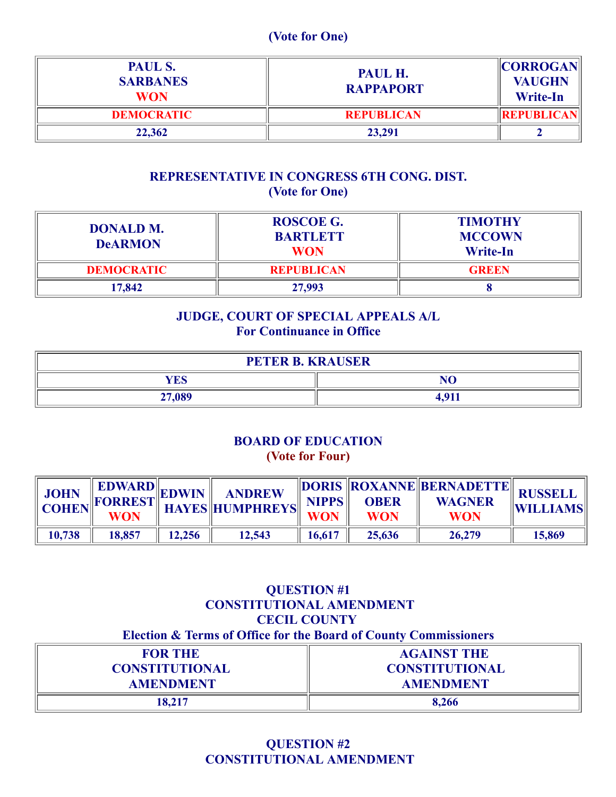#### (Vote for One)

| PAUL S.<br><b>SARBANES</b><br><b>WON</b> | PAUL H.<br><b>RAPPAPORT</b> | <b>CORROGAN</b><br><b>VAUGHN</b><br><b>Write-In</b> |
|------------------------------------------|-----------------------------|-----------------------------------------------------|
| <b>DEMOCRATIC</b>                        | <b>REPUBLICAN</b>           | <b>REPUBLICAN</b>                                   |
| 22,362                                   | 23,291                      |                                                     |

#### REPRESENTATIVE IN CONGRESS 6TH CONG. DIST. (Vote for One)

| <b>DONALD M.</b><br><b>DeARMON</b> | <b>ROSCOE G.</b><br><b>BARTLETT</b><br><b>WON</b> | <b>TIMOTHY</b><br><b>MCCOWN</b><br><b>Write-In</b> |
|------------------------------------|---------------------------------------------------|----------------------------------------------------|
| <b>DEMOCRATIC</b>                  | <b>REPUBLICAN</b>                                 | <b>GREEN</b>                                       |
| 17,842                             | 27,993                                            |                                                    |

#### JUDGE, COURT OF SPECIAL APPEALS A/L For Continuance in Office

| <b>PETER B. KRAUSER</b> |                |  |  |
|-------------------------|----------------|--|--|
| <b>YES</b>              | N <sub>O</sub> |  |  |
| 27,089                  | 4,911          |  |  |

#### BOARD OF EDUCATION (Vote for Four)

| <b>JOHN</b><br><b>COHEN</b> | <b>WON</b> |        | NEDWARD EDWIN ANDREW D' | <b>NIPPS</b><br><b>WON</b> | <b>OBER</b><br><b>WON</b> | DORIS ROXANNE BERNADETTE RUSSELL<br><b>WAGNER</b><br><b>WON</b> | <b>WILLIAMS</b> |
|-----------------------------|------------|--------|-------------------------|----------------------------|---------------------------|-----------------------------------------------------------------|-----------------|
| 10,738                      | 18,857     | 12,256 | 12,543                  | 16,617                     | 25,636                    | 26,279                                                          | 15,869          |

| <b>QUESTION #1</b><br><b>CECIL COUNTY</b>                                   | <b>CONSTITUTIONAL AMENDMENT</b> |  |  |
|-----------------------------------------------------------------------------|---------------------------------|--|--|
| <b>Election &amp; Terms of Office for the Board of County Commissioners</b> |                                 |  |  |
| <b>FOR THE</b>                                                              | <b>AGAINST THE</b>              |  |  |
| <b>CONSTITUTIONAL</b>                                                       | <b>CONSTITUTIONAL</b>           |  |  |
| <b>AMENDMENT</b>                                                            | <b>AMENDMENT</b>                |  |  |
| 18,217                                                                      | 8,266                           |  |  |